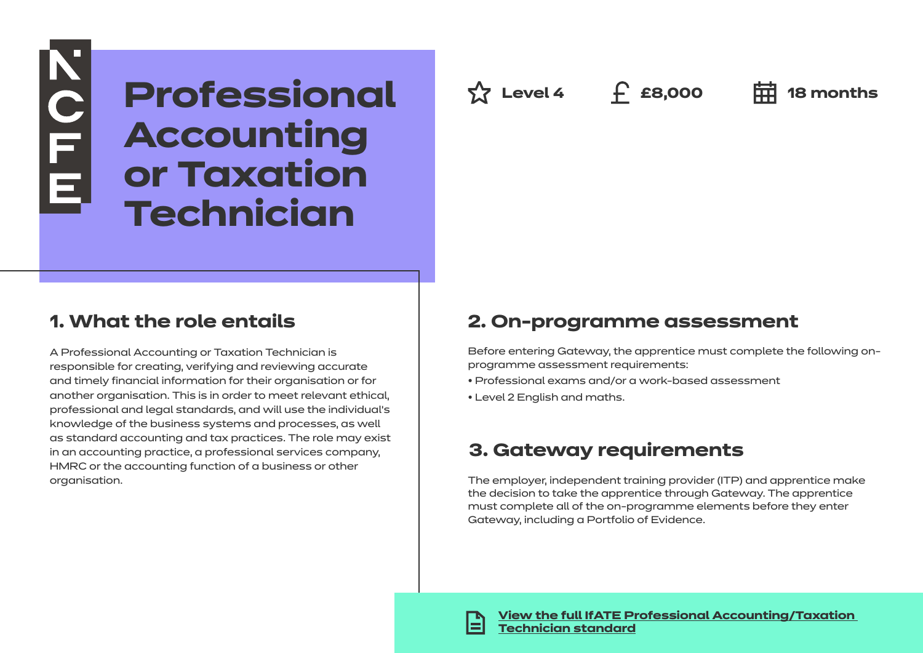**Professional Accounting or Taxation Technician**

### **1. What the role entails**

**KOLLE** 

A Professional Accounting or Taxation Technician is responsible for creating, verifying and reviewing accurate and timely financial information for their organisation or for another organisation. This is in order to meet relevant ethical, professional and legal standards, and will use the individual's knowledge of the business systems and processes, as well as standard accounting and tax practices. The role may exist in an accounting practice, a professional services company, HMRC or the accounting function of a business or other organisation.

**Level 4 £8,000 18 months**

### **2. On-programme assessment**

Before entering Gateway, the apprentice must complete the following onprogramme assessment requirements:

- Professional exams and/or a work-based assessment
- Level 2 English and maths.

### **3. Gateway requirements**

The employer, independent training provider (ITP) and apprentice make the decision to take the apprentice through Gateway. The apprentice must complete all of the on-programme elements before they enter Gateway, including a Portfolio of Evidence.